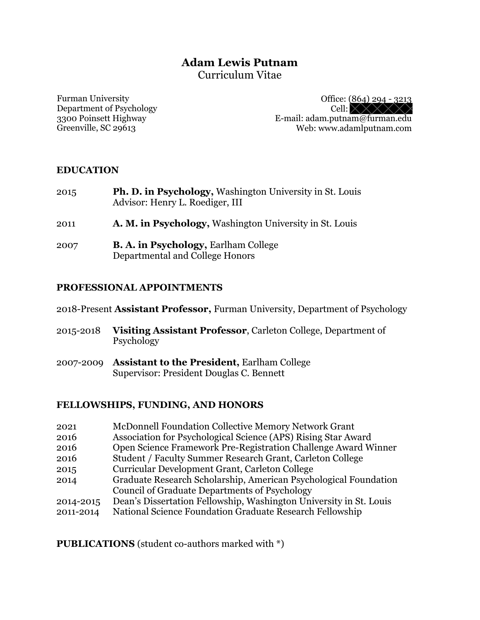# **Adam Lewis Putnam** Curriculum Vitae

Furman University Department of Psychology 3300 Poinsett Highway Greenville, SC 29613

Office: (864) 294 - 3213 Cell:  $\times \times \times \times$ E-mail: adam.putnam@furman.edu Web: www.adamlputnam.com

#### **EDUCATION**

- 2015 **Ph. D. in Psychology,** Washington University in St. Louis Advisor: Henry L. Roediger, III
- 2011 **A. M. in Psychology,** Washington University in St. Louis
- 2007 **B. A. in Psychology,** Earlham College Departmental and College Honors

#### **PROFESSIONAL APPOINTMENTS**

2018-Present **Assistant Professor,** Furman University, Department of Psychology

- 2015-2018 **Visiting Assistant Professor**, Carleton College, Department of Psychology
- 2007-2009 **Assistant to the President,** Earlham College Supervisor: President Douglas C. Bennett

### **FELLOWSHIPS, FUNDING, AND HONORS**

- 2021 McDonnell Foundation Collective Memory Network Grant
- 2016 Association for Psychological Science (APS) Rising Star Award
- 2016 Open Science Framework Pre-Registration Challenge Award Winner
- 2016 Student / Faculty Summer Research Grant, Carleton College
- 2015 Curricular Development Grant, Carleton College
- 2014 Graduate Research Scholarship, American Psychological Foundation Council of Graduate Departments of Psychology
- 2014-2015 Dean's Dissertation Fellowship, Washington University in St. Louis
- 2011-2014 National Science Foundation Graduate Research Fellowship

**PUBLICATIONS** (student co-authors marked with \*)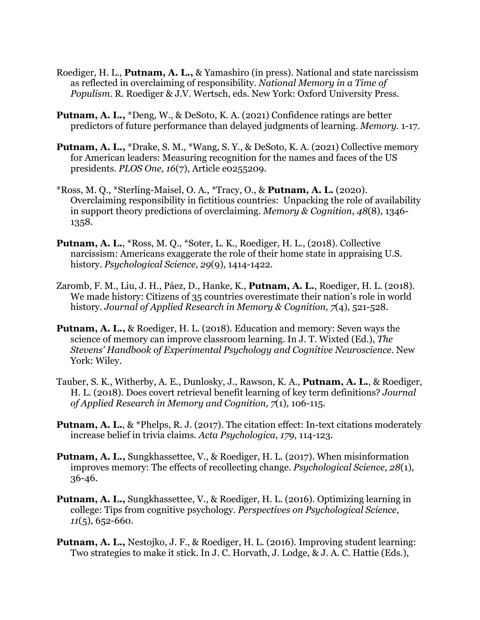- Roediger, H. L., **Putnam, A. L.,** & Yamashiro (in press). National and state narcissism as reflected in overclaiming of responsibility. *National Memory in a Time of Populism*. R. Roediger & J.V. Wertsch, eds. New York: Oxford University Press.
- **Putnam, A. L.,** \*Deng, W., & DeSoto, K. A. (2021) Confidence ratings are better predictors of future performance than delayed judgments of learning. *Memory.* 1-17.
- **Putnam, A. L.,** \*Drake, S. M., \*Wang, S. Y., & DeSoto, K. A. (2021) Collective memory for American leaders: Measuring recognition for the names and faces of the US presidents. *PLOS One, 16*(7), Article e0255209.
- \*Ross, M. Q., \*Sterling-Maisel, O. A., \*Tracy, O., & **Putnam, A. L.** (2020). Overclaiming responsibility in fictitious countries: Unpacking the role of availability in support theory predictions of overclaiming. *Memory & Cognition*, *48*(8), 1346- 1358.
- **Putnam, A. L.**, \*Ross, M. Q., \*Soter, L. K., Roediger, H. L., (2018). Collective narcissism: Americans exaggerate the role of their home state in appraising U.S. history. *Psychological Science, 29*(9), 1414-1422.
- Zaromb, F. M., Liu, J. H., Páez, D., Hanke, K., **Putnam, A. L.**, Roediger, H. L. (2018). We made history: Citizens of 35 countries overestimate their nation's role in world history. *Journal of Applied Research in Memory & Cognition, 7*(4)*,* 521-528.
- **Putnam, A. L.,** & Roediger, H. L. (2018). Education and memory: Seven ways the science of memory can improve classroom learning. In J. T. Wixted (Ed.), *The Stevens' Handbook of Experimental Psychology and Cognitive Neuroscience*. New York: Wiley.
- Tauber, S. K., Witherby, A. E., Dunlosky, J., Rawson, K. A., **Putnam, A. L.**, & Roediger, H. L. (2018). Does covert retrieval benefit learning of key term definitions? *Journal of Applied Research in Memory and Cognition, 7*(1)*,* 106-115.
- **Putnam, A. L.**, & \*Phelps, R. J. (2017). The citation effect: In-text citations moderately increase belief in trivia claims. *Acta Psychologica*, *179*, 114-123.
- **Putnam, A. L.,** Sungkhassettee, V., & Roediger, H. L. (2017). When misinformation improves memory: The effects of recollecting change. *Psychological Science, 28*(1)*,* 36-46.
- **Putnam, A. L.,** Sungkhassettee, V., & Roediger, H. L. (2016). Optimizing learning in college: Tips from cognitive psychology. *Perspectives on Psychological Science*, *11*(5), 652-660.
- **Putnam, A. L.,** Nestojko, J. F., & Roediger, H. L. (2016). Improving student learning: Two strategies to make it stick. In J. C. Horvath, J. Lodge, & J. A. C. Hattie (Eds.),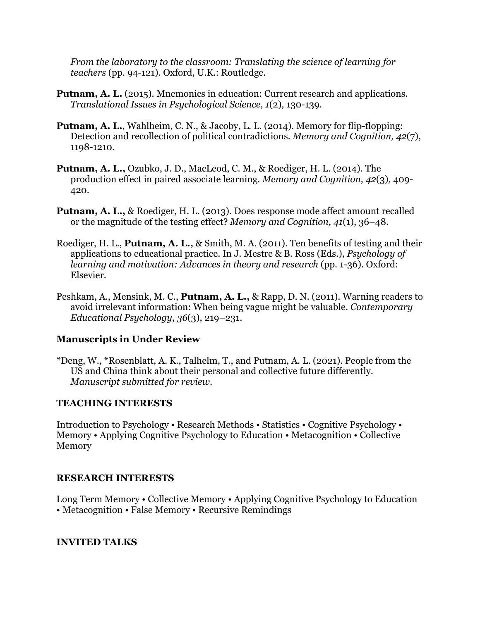*From the laboratory to the classroom: Translating the science of learning for teachers* (pp. 94-121). Oxford, U.K.: Routledge.

- **Putnam, A. L.** (2015). Mnemonics in education: Current research and applications. *Translational Issues in Psychological Science, 1*(2)*,* 130-139.
- **Putnam, A. L.**, Wahlheim, C. N., & Jacoby, L. L. (2014). Memory for flip-flopping: Detection and recollection of political contradictions*. Memory and Cognition, 42*(7), 1198-1210.
- **Putnam, A. L.,** Ozubko, J. D., MacLeod, C. M., & Roediger, H. L. (2014). The production effect in paired associate learning. *Memory and Cognition, 42*(3)*,* 409- 420.
- **Putnam, A. L.,** & Roediger, H. L. (2013). Does response mode affect amount recalled or the magnitude of the testing effect? *Memory and Cognition, 41*(1), 36–48.
- Roediger, H. L., **Putnam, A. L.,** & Smith, M. A. (2011). Ten benefits of testing and their applications to educational practice. In J. Mestre & B. Ross (Eds.), *Psychology of learning and motivation: Advances in theory and research* (pp. 1-36). Oxford: Elsevier.
- Peshkam, A., Mensink, M. C., **Putnam, A. L.,** & Rapp, D. N. (2011). Warning readers to avoid irrelevant information: When being vague might be valuable. *Contemporary Educational Psychology*, *36*(3), 219–231.

## **Manuscripts in Under Review**

\*Deng, W., \*Rosenblatt, A. K., Talhelm, T., and Putnam, A. L. (2021). People from the US and China think about their personal and collective future differently. *Manuscript submitted for review.*

### **TEACHING INTERESTS**

Introduction to Psychology • Research Methods • Statistics • Cognitive Psychology • Memory • Applying Cognitive Psychology to Education • Metacognition • Collective Memory

## **RESEARCH INTERESTS**

Long Term Memory • Collective Memory • Applying Cognitive Psychology to Education • Metacognition • False Memory • Recursive Remindings

### **INVITED TALKS**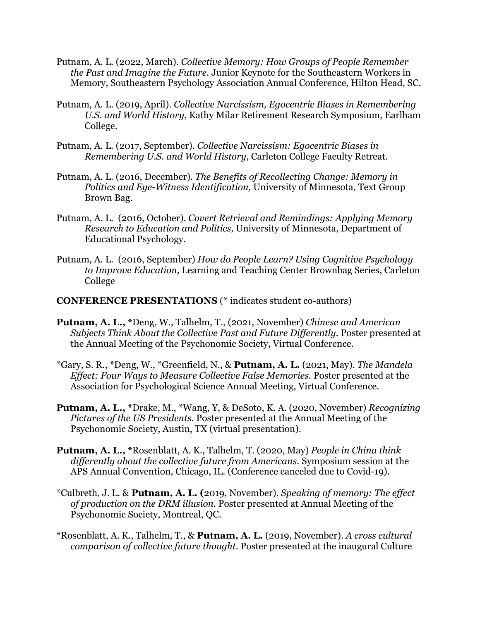- Putnam, A. L. (2022, March). *Collective Memory: How Groups of People Remember the Past and Imagine the Future.* Junior Keynote for the Southeastern Workers in Memory, Southeastern Psychology Association Annual Conference, Hilton Head, SC.
- Putnam, A. L. (2019, April). *Collective Narcissism, Egocentric Biases in Remembering U.S. and World History*, Kathy Milar Retirement Research Symposium, Earlham College.
- Putnam, A. L. (2017, September). *Collective Narcissism: Egocentric Biases in Remembering U.S. and World History*, Carleton College Faculty Retreat.
- Putnam, A. L. (2016, December). *The Benefits of Recollecting Change: Memory in Politics and Eye-Witness Identification,* University of Minnesota, Text Group Brown Bag.
- Putnam, A. L. (2016, October). *Covert Retrieval and Remindings: Applying Memory Research to Education and Politics,* University of Minnesota, Department of Educational Psychology.
- Putnam, A. L. (2016, September) *How do People Learn? Using Cognitive Psychology to Improve Education,* Learning and Teaching Center Brownbag Series, Carleton College
- **CONFERENCE PRESENTATIONS** (\* indicates student co-authors)
- **Putnam, A. L., \***Deng, W., Talhelm, T., (2021, November) *Chinese and American Subjects Think About the Collective Past and Future Differently.* Poster presented at the Annual Meeting of the Psychonomic Society, Virtual Conference.
- \*Gary, S. R., \*Deng, W., \*Greenfield, N., & **Putnam, A. L.** (2021, May). *The Mandela Effect: Four Ways to Measure Collective False Memories.* Poster presented at the Association for Psychological Science Annual Meeting, Virtual Conference.
- **Putnam, A. L., \***Drake, M., \*Wang, Y, & DeSoto, K. A. (2020, November) *Recognizing Pictures of the US Presidents.* Poster presented at the Annual Meeting of the Psychonomic Society, Austin, TX (virtual presentation).
- **Putnam, A. L., \***Rosenblatt, A. K., Talhelm, T. (2020, May) *People in China think differently about the collective future from Americans.* Symposium session at the APS Annual Convention, Chicago, IL. (Conference canceled due to Covid-19).
- \*Culbreth, J. L. & **Putnam, A. L. (**2019, November). *Speaking of memory: The effect of production on the DRM illusion.* Poster presented at Annual Meeting of the Psychonomic Society, Montreal, QC.
- \*Rosenblatt, A. K., Talhelm, T., & **Putnam, A. L.** (2019, November). *A cross cultural comparison of collective future thought.* Poster presented at the inaugural Culture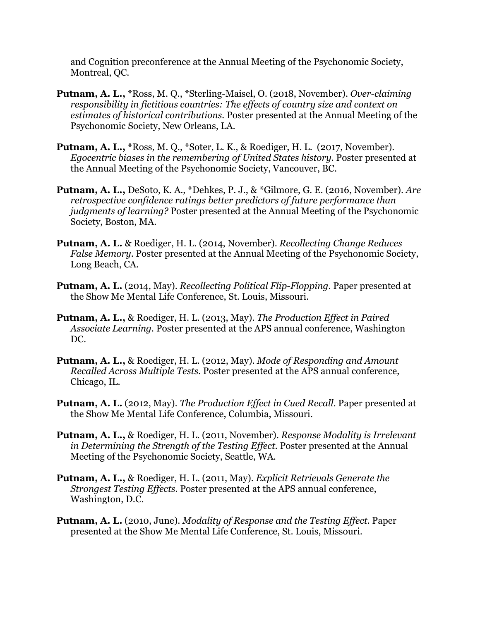and Cognition preconference at the Annual Meeting of the Psychonomic Society, Montreal, QC.

- **Putnam, A. L.,** \*Ross, M. Q., \*Sterling-Maisel, O. (2018, November). *Over-claiming responsibility in fictitious countries: The effects of country size and context on estimates of historical contributions.* Poster presented at the Annual Meeting of the Psychonomic Society, New Orleans, LA.
- **Putnam, A. L., \***Ross, M. Q., \*Soter, L. K., & Roediger, H. L. (2017, November). *Egocentric biases in the remembering of United States history.* Poster presented at the Annual Meeting of the Psychonomic Society, Vancouver, BC.
- **Putnam, A. L.,** DeSoto, K. A., \*Dehkes, P. J., & \*Gilmore, G. E. (2016, November). *Are retrospective confidence ratings better predictors of future performance than judgments of learning?* Poster presented at the Annual Meeting of the Psychonomic Society, Boston, MA.
- **Putnam, A. L.** & Roediger, H. L. (2014, November). *Recollecting Change Reduces False Memory*. Poster presented at the Annual Meeting of the Psychonomic Society, Long Beach, CA.
- **Putnam, A. L.** (2014, May). *Recollecting Political Flip-Flopping.* Paper presented at the Show Me Mental Life Conference, St. Louis, Missouri.
- **Putnam, A. L.,** & Roediger, H. L. (2013, May). *The Production Effect in Paired Associate Learning.* Poster presented at the APS annual conference, Washington DC.
- **Putnam, A. L.,** & Roediger, H. L. (2012, May). *Mode of Responding and Amount Recalled Across Multiple Tests.* Poster presented at the APS annual conference, Chicago, IL.
- **Putnam, A. L.** (2012, May). *The Production Effect in Cued Recall.* Paper presented at the Show Me Mental Life Conference, Columbia, Missouri.
- **Putnam, A. L.,** & Roediger, H. L. (2011, November). *Response Modality is Irrelevant in Determining the Strength of the Testing Effect.* Poster presented at the Annual Meeting of the Psychonomic Society, Seattle, WA.
- **Putnam, A. L.,** & Roediger, H. L. (2011, May). *Explicit Retrievals Generate the Strongest Testing Effects.* Poster presented at the APS annual conference, Washington, D.C.
- **Putnam, A. L.** (2010, June). *Modality of Response and the Testing Effect.* Paper presented at the Show Me Mental Life Conference, St. Louis, Missouri.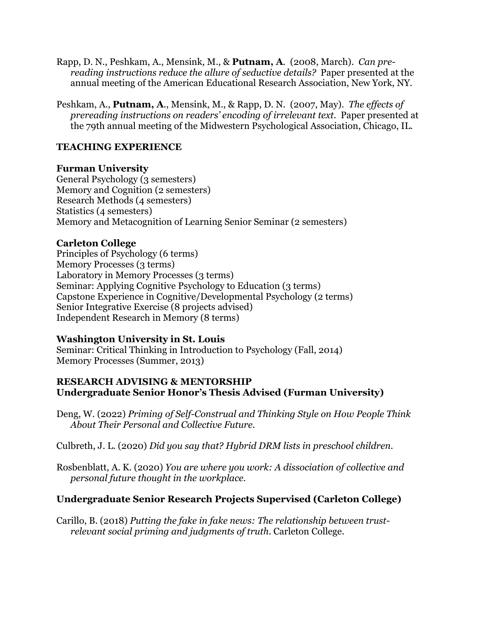- Rapp, D. N., Peshkam, A., Mensink, M., & **Putnam, A**. (2008, March). *Can prereading instructions reduce the allure of seductive details?* Paper presented at the annual meeting of the American Educational Research Association, New York, NY.
- Peshkam, A., **Putnam, A**., Mensink, M., & Rapp, D. N. (2007, May). *The effects of prereading instructions on readers' encoding of irrelevant text*. Paper presented at the 79th annual meeting of the Midwestern Psychological Association, Chicago, IL.

## **TEACHING EXPERIENCE**

### **Furman University**

General Psychology (3 semesters) Memory and Cognition (2 semesters) Research Methods (4 semesters) Statistics (4 semesters) Memory and Metacognition of Learning Senior Seminar (2 semesters)

### **Carleton College**

Principles of Psychology (6 terms) Memory Processes (3 terms) Laboratory in Memory Processes (3 terms) Seminar: Applying Cognitive Psychology to Education (3 terms) Capstone Experience in Cognitive/Developmental Psychology (2 terms) Senior Integrative Exercise (8 projects advised) Independent Research in Memory (8 terms)

## **Washington University in St. Louis**

Seminar: Critical Thinking in Introduction to Psychology (Fall, 2014) Memory Processes (Summer, 2013)

### **RESEARCH ADVISING & MENTORSHIP Undergraduate Senior Honor's Thesis Advised (Furman University)**

Deng, W. (2022) *Priming of Self-Construal and Thinking Style on How People Think About Their Personal and Collective Future.*

Culbreth, J. L. (2020) *Did you say that? Hybrid DRM lists in preschool children.*

Rosbenblatt, A. K. (2020) *You are where you work: A dissociation of collective and personal future thought in the workplace.*

## **Undergraduate Senior Research Projects Supervised (Carleton College)**

Carillo, B. (2018) *Putting the fake in fake news: The relationship between trustrelevant social priming and judgments of truth*. Carleton College.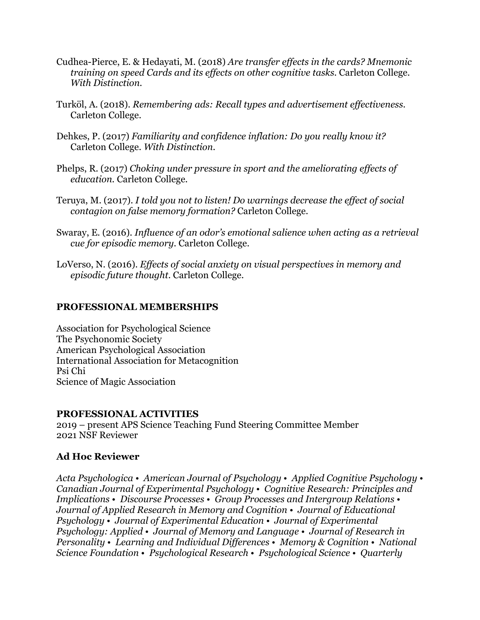- Cudhea-Pierce, E. & Hedayati, M. (2018) *Are transfer effects in the cards? Mnemonic training on speed Cards and its effects on other cognitive tasks.* Carleton College. *With Distinction.*
- Turköl, A. (2018). *Remembering ads: Recall types and advertisement effectiveness.* Carleton College.
- Dehkes, P. (2017) *Familiarity and confidence inflation: Do you really know it?* Carleton College. *With Distinction.*
- Phelps, R. (2017) *Choking under pressure in sport and the ameliorating effects of education.* Carleton College.
- Teruya, M. (2017). *I told you not to listen! Do warnings decrease the effect of social contagion on false memory formation?* Carleton College.
- Swaray, E. (2016). *Influence of an odor's emotional salience when acting as a retrieval cue for episodic memory.* Carleton College.
- LoVerso, N. (2016). *Effects of social anxiety on visual perspectives in memory and episodic future thought*. Carleton College.

### **PROFESSIONAL MEMBERSHIPS**

Association for Psychological Science The Psychonomic Society American Psychological Association International Association for Metacognition Psi Chi Science of Magic Association

### **PROFESSIONAL ACTIVITIES**

2019 – present APS Science Teaching Fund Steering Committee Member 2021 NSF Reviewer

## **Ad Hoc Reviewer**

*Acta Psychologica* • *American Journal of Psychology* • *Applied Cognitive Psychology* • *Canadian Journal of Experimental Psychology* • *Cognitive Research: Principles and Implications* • *Discourse Processes* • *Group Processes and Intergroup Relations* • *Journal of Applied Research in Memory and Cognition* • *Journal of Educational Psychology* • *Journal of Experimental Education* • *Journal of Experimental Psychology: Applied* • *Journal of Memory and Language* • *Journal of Research in Personality* • *Learning and Individual Differences* • *Memory & Cognition* • *National Science Foundation* • *Psychological Research* • *Psychological Science* • *Quarterly*